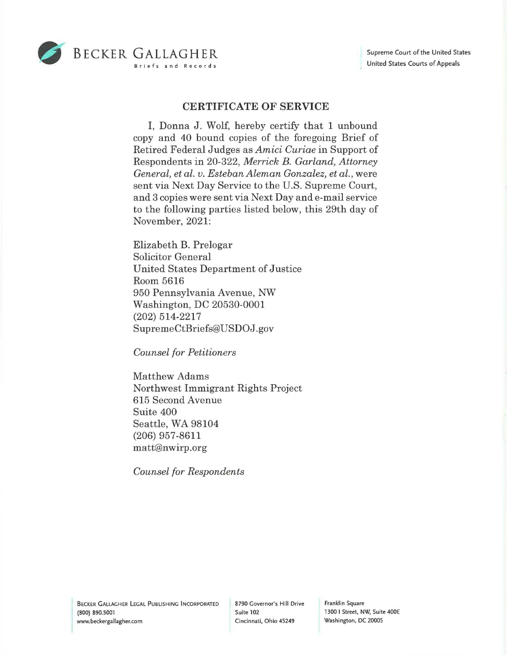

## **CERTIFICATE OF SERVICE**

I, Donna J. Wolf, hereby certify that 1 unbound copy and 40 bound copies of the foregoing Brief of Retired Federal Judges as *Amici Curiae* in Support of Respondents in 20-322, *Merrick B. Garland, Attorney General, et al. v. Esteban Aleman Gonzalez, et al.,* were sent via Next Day Service to the U.S. Supreme Court, and 3 copies were sent via Next Day and e-mail service to the following parties listed below, this 29th day of November, 2021:

Elizabeth B. Prelogar Solicitor General United States Department of Justice Room 5616 950 Pennsylvania Avenue, NW Washington, DC 20530-0001 (202) 514-2217 SupremeCtBriefs@USDOJ.gov

*Counsel for Petitioners* 

Matthew Adams Northwest Immigrant Rights Project 615 Second Avenue Suite 400 Seattle, WA 98104 (206) 957-8611 matt@nwirp.org

*Counsel for Respondents* 

Franklin Square 1300 I Street, NW, Suite 400E Washington, DC 20005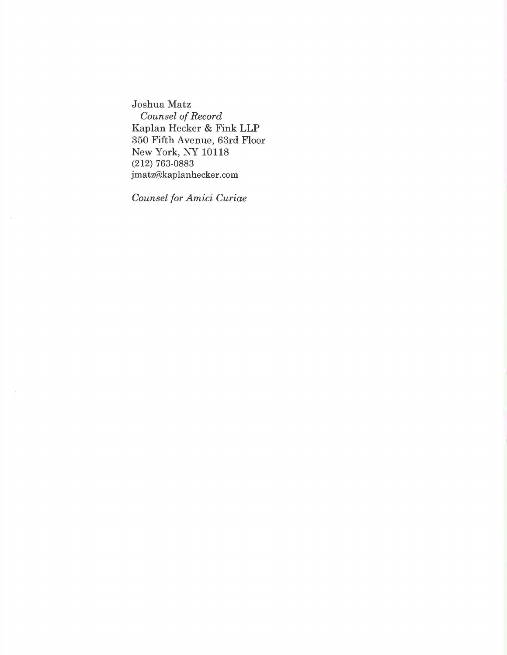Joshua Matz *Counsel of Record*  Kaplan Hecker & Fink **LLP**  350 Fifth Avenue, 63rd Floor New York, NY **10118**  (212) 763-0883 jmatz@kaplanhecker.com

*Counsel for Amici Curiae*